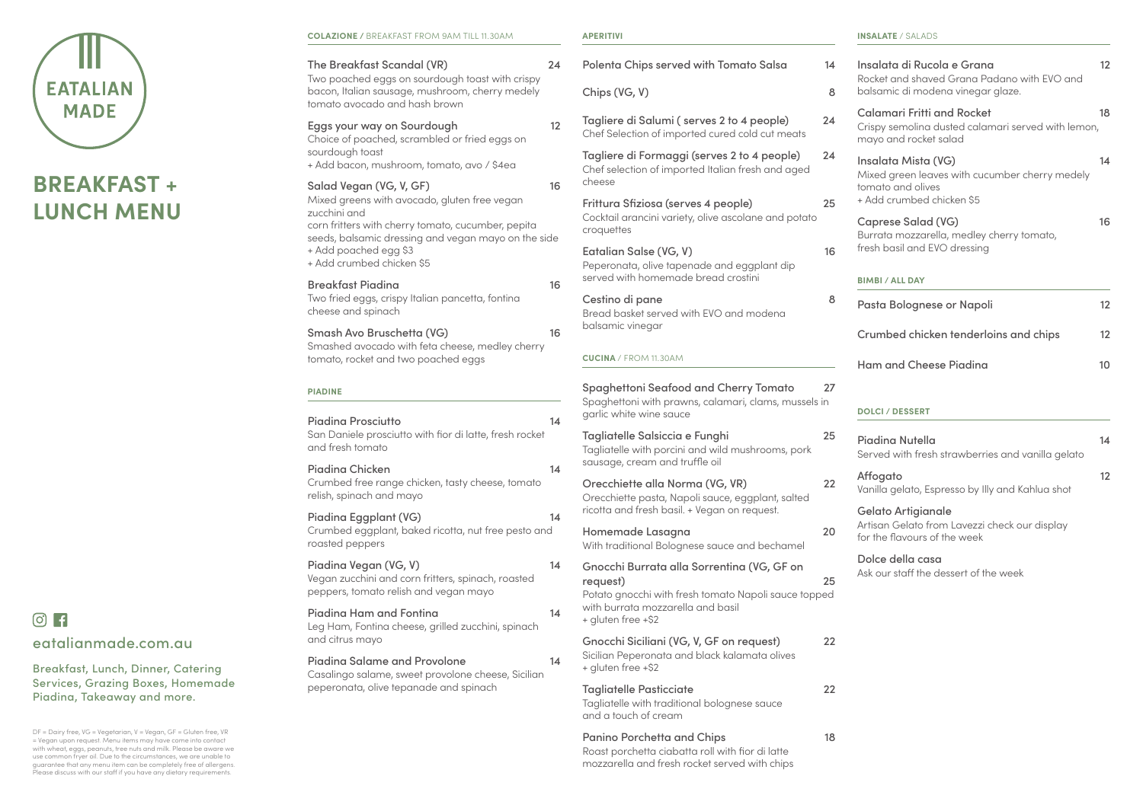| The Breakfast Scandal (VR)<br>Two poached eggs on sourdough toast with crispy<br>bacon, Italian sausage, mushroom, cherry medely<br>tomato avocado and hash brown | 24             |
|-------------------------------------------------------------------------------------------------------------------------------------------------------------------|----------------|
| Eggs your way on Sourdough<br>Choice of poached, scrambled or fried eggs on<br>sourdough toast<br>+ Add bacon, mushroom, tomato, avo / \$4ea                      | 12             |
| Salad Vegan (VG, V, GF)<br>Mixed greens with avocado, gluten free vegan<br>zucchini and<br>corn fritters with cherry tomato, cucumber, pepita                     | 16             |
| seeds, balsamic dressing and vegan mayo on the side<br>+ Add poached egg \$3<br>+ Add crumbed chicken \$5                                                         |                |
| <b>Breakfast Piadina</b><br>Two fried eggs, crispy Italian pancetta, fontina<br>cheese and spinach                                                                | 16             |
| Smash Avo Bruschetta (VG)<br>Smashed avocado with feta cheese, medley cherry<br>tomato, rocket and two poached eggs                                               | 16             |
| <b>PIADINE</b>                                                                                                                                                    |                |
| <b>Piadina Prosciutto</b><br>San Daniele prosciutto with fior di latte, fresh rocket<br>and fresh tomato                                                          | 14             |
|                                                                                                                                                                   |                |
| <b>Piadina Chicken</b><br>Crumbed free range chicken, tasty cheese, tomato<br>relish, spinach and mayo                                                            |                |
| Piadina Eggplant (VG)<br>Crumbed eggplant, baked ricotta, nut free pesto and<br>roasted peppers                                                                   | 14             |
| Piadina Vegan (VG, V)<br>Vegan zucchini and corn fritters, spinach, roasted<br>peppers, tomato relish and vegan mayo                                              |                |
| Piadina Ham and Fontina<br>Leg Ham, Fontina cheese, grilled zucchini, spinach<br>and citrus mayo                                                                  | 14<br>14<br>14 |
| <b>Piadina Salame and Provolone</b><br>Casalingo salame, sweet provolone cheese, Sicilian<br>peperonata, olive tepanade and spinach                               | 14             |

#### **APERITIVI**

## $\circ$  F eatalianmade.com.au

| <b>Polenta Chips served with Tomato Salsa</b>                                                                                                                             | 14 |
|---------------------------------------------------------------------------------------------------------------------------------------------------------------------------|----|
| Chips (VG, V)                                                                                                                                                             | 8  |
| Tagliere di Salumi (serves 2 to 4 people)<br>Chef Selection of imported cured cold cut meats                                                                              | 24 |
| Tagliere di Formaggi (serves 2 to 4 people)<br>Chef selection of imported Italian fresh and aged<br>cheese                                                                | 24 |
| Frittura Sfiziosa (serves 4 people)<br>Cocktail arancini variety, olive ascolane and potato<br>croquettes                                                                 | 25 |
| Eatalian Salse (VG, V)<br>Peperonata, olive tapenade and eggplant dip<br>served with homemade bread crostini                                                              | 16 |
| Cestino di pane<br>Bread basket served with EVO and modena<br>balsamic vinegar                                                                                            | 8  |
| <b>CUCINA / FROM 11.30AM</b>                                                                                                                                              |    |
| <b>Spaghettoni Seafood and Cherry Tomato</b><br>Spaghettoni with prawns, calamari, clams, mussels in<br>garlic white wine sauce                                           | 27 |
| Tagliatelle Salsiccia e Funghi<br>Tagliatelle with porcini and wild mushrooms, pork<br>sausage, cream and truffle oil                                                     | 25 |
| Orecchiette alla Norma (VG, VR)<br>Orecchiette pasta, Napoli sauce, eggplant, salted<br>ricotta and fresh basil. + Vegan on request.                                      | 22 |
| Homemade Lasagna<br>With traditional Bolognese sauce and bechamel                                                                                                         | 20 |
| Gnocchi Burrata alla Sorrentina (VG, GF on<br>request)<br>Potato gnocchi with fresh tomato Napoli sauce topped<br>with burrata mozzarella and basil<br>+ gluten free +\$2 | 25 |
| Gnocchi Siciliani (VG, V, GF on request)<br>Sicilian Peperonata and black kalamata olives<br>+ gluten free +\$2                                                           | 22 |
| <b>Tagliatelle Pasticciate</b><br>Tagliatelle with traditional bolognese sauce<br>and a touch of cream                                                                    | 22 |
| <b>Panino Porchetta and Chips</b>                                                                                                                                         | 18 |

Roast porchetta ciabatta roll with fior di latte mozzarella and fresh rocket served with chips

| Insalata di Rucola e Grana<br>Rocket and shaved Grana Padano with EVO and<br>balsamic di modena vinegar glaze.          | 12 |
|-------------------------------------------------------------------------------------------------------------------------|----|
| <b>Calamari Fritti and Rocket</b><br>Crispy semolina dusted calamari served with lemon,<br>mayo and rocket salad        | 18 |
| Insalata Mista (VG)<br>Mixed green leaves with cucumber cherry medely<br>tomato and olives<br>+ Add crumbed chicken \$5 | 14 |
| <b>Caprese Salad (VG)</b><br>Burrata mozzarella, medley cherry tomato,<br>fresh basil and EVO dressing                  | 16 |
| <b>BIMBI / ALL DAY</b>                                                                                                  |    |
| Pasta Bolognese or Napoli                                                                                               | 12 |
| <b>Crumbed chicken tenderloins and chips</b>                                                                            | 12 |
| <b>Ham and Cheese Piadina</b>                                                                                           | 10 |
| <b>DOLCI / DESSERT</b>                                                                                                  |    |

| Piadina Nutella<br>Served with fresh strawberries and vanilla gelato                                       | 14 |
|------------------------------------------------------------------------------------------------------------|----|
| Affogato<br>Vanilla gelato, Espresso by Illy and Kahlua shot                                               | 12 |
| <b>Gelato Artigianale</b><br>Artisan Gelato from Lavezzi check our display<br>for the flavours of the week |    |
| Dolce della casa                                                                                           |    |

Ask our staff the dessert of the week

Breakfast, Lunch, Dinner, Catering Services, Grazing Boxes, Homemade Piadina, Takeaway and more.

DF = Dairy free, VG = Vegetarian, V = Vegan, GF = Gluten free, VR = Vegan upon request. Menu items may have come into contact with wheat, eggs, peanuts, tree nuts and milk. Please be aware we use common fryer oil. Due to the circumstances, we are unable to guarantee that any menu item can be completely free of allergens. Please discuss with our staff if you have any dietary requirements.

# **EATALIAN MADE**

# **BREAKFAST + LUNCH MENU**